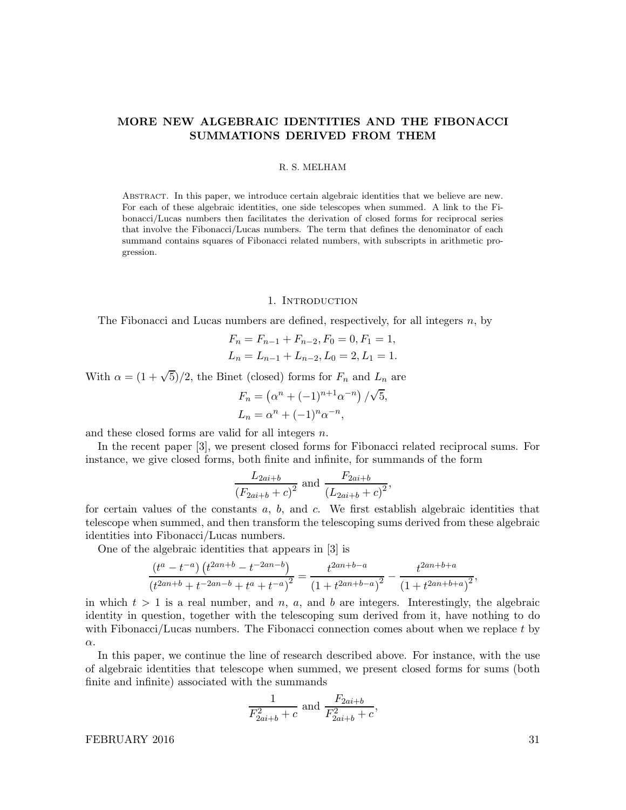# MORE NEW ALGEBRAIC IDENTITIES AND THE FIBONACCI SUMMATIONS DERIVED FROM THEM

## R. S. MELHAM

Abstract. In this paper, we introduce certain algebraic identities that we believe are new. For each of these algebraic identities, one side telescopes when summed. A link to the Fibonacci/Lucas numbers then facilitates the derivation of closed forms for reciprocal series that involve the Fibonacci/Lucas numbers. The term that defines the denominator of each summand contains squares of Fibonacci related numbers, with subscripts in arithmetic progression.

#### 1. INTRODUCTION

The Fibonacci and Lucas numbers are defined, respectively, for all integers n, by

$$
F_n = F_{n-1} + F_{n-2}, F_0 = 0, F_1 = 1,
$$
  
\n
$$
L_n = L_{n-1} + L_{n-2}, L_0 = 2, L_1 = 1.
$$

With  $\alpha = (1 + \sqrt{5})/2$ , the Binet (closed) forms for  $F_n$  and  $L_n$  are

$$
F_n = (\alpha^n + (-1)^{n+1} \alpha^{-n}) / \sqrt{5},
$$
  
\n
$$
L_n = \alpha^n + (-1)^n \alpha^{-n},
$$

and these closed forms are valid for all integers  $n$ .

In the recent paper [3], we present closed forms for Fibonacci related reciprocal sums. For instance, we give closed forms, both finite and infinite, for summands of the form

$$
\frac{L_{2ai+b}}{(F_{2ai+b}+c)^2}
$$
 and 
$$
\frac{F_{2ai+b}}{(L_{2ai+b}+c)^2}
$$

,

for certain values of the constants  $a, b$ , and  $c$ . We first establish algebraic identities that telescope when summed, and then transform the telescoping sums derived from these algebraic identities into Fibonacci/Lucas numbers.

One of the algebraic identities that appears in [3] is

$$
\frac{\left(t^{a} - t^{-a}\right)\left(t^{2an+b} - t^{-2an-b}\right)}{\left(t^{2an+b} + t^{-2an-b} + t^{a} + t^{-a}\right)^{2}} = \frac{t^{2an+b-a}}{\left(1 + t^{2an+b-a}\right)^{2}} - \frac{t^{2an+b+a}}{\left(1 + t^{2an+b+a}\right)^{2}},
$$

in which  $t > 1$  is a real number, and n, a, and b are integers. Interestingly, the algebraic identity in question, together with the telescoping sum derived from it, have nothing to do with Fibonacci/Lucas numbers. The Fibonacci connection comes about when we replace  $t$  by α.

In this paper, we continue the line of research described above. For instance, with the use of algebraic identities that telescope when summed, we present closed forms for sums (both finite and infinite) associated with the summands

$$
\frac{1}{F_{2ai+b}^{2}+c}
$$
 and 
$$
\frac{F_{2ai+b}}{F_{2ai+b}^{2}+c}
$$
,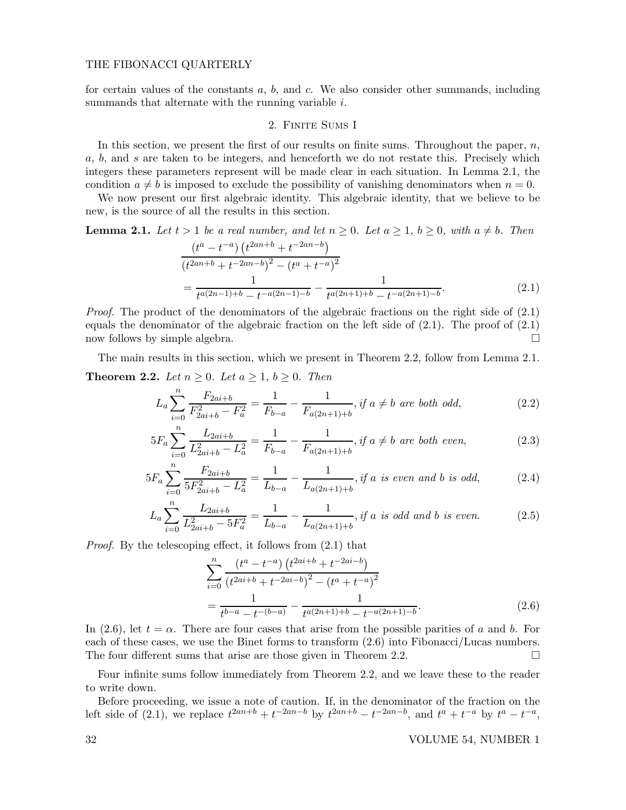for certain values of the constants  $a, b$ , and  $c$ . We also consider other summands, including summands that alternate with the running variable i.

## 2. FINITE SUMS I

In this section, we present the first of our results on finite sums. Throughout the paper,  $n$ , a, b, and s are taken to be integers, and henceforth we do not restate this. Precisely which integers these parameters represent will be made clear in each situation. In Lemma 2.1, the condition  $a \neq b$  is imposed to exclude the possibility of vanishing denominators when  $n = 0$ .

We now present our first algebraic identity. This algebraic identity, that we believe to be new, is the source of all the results in this section.

**Lemma 2.1.** Let  $t > 1$  be a real number, and let  $n \geq 0$ . Let  $a \geq 1$ ,  $b \geq 0$ , with  $a \neq b$ . Then

$$
\frac{(t^a - t^{-a}) (t^{2an+b} + t^{-2an-b})}{(t^{2an+b} + t^{-2an-b})^2 - (t^a + t^{-a})^2}
$$

$$
= \frac{1}{t^{a(2n-1)+b} - t^{-a(2n-1)-b}} - \frac{1}{t^{a(2n+1)+b} - t^{-a(2n+1)-b}}.
$$
(2.1)

*Proof.* The product of the denominators of the algebraic fractions on the right side of  $(2.1)$ equals the denominator of the algebraic fraction on the left side of  $(2.1)$ . The proof of  $(2.1)$ now follows by simple algebra.

The main results in this section, which we present in Theorem 2.2, follow from Lemma 2.1. **Theorem 2.2.** Let  $n \geq 0$ . Let  $a \geq 1$ ,  $b \geq 0$ . Then

$$
L_a \sum_{i=0}^{n} \frac{F_{2ai+b}}{F_{2ai+b}^2 - F_a^2} = \frac{1}{F_{b-a}} - \frac{1}{F_{a(2n+1)+b}}, \text{ if } a \neq b \text{ are both odd}, \tag{2.2}
$$

$$
5F_a \sum_{i=0}^{n} \frac{L_{2ai+b}}{L_{2ai+b}^2 - L_a^2} = \frac{1}{F_{b-a}} - \frac{1}{F_{a(2n+1)+b}}, \text{ if } a \neq b \text{ are both even}, \tag{2.3}
$$

$$
5F_a \sum_{i=0}^n \frac{F_{2ai+b}}{5F_{2ai+b}^2 - L_a^2} = \frac{1}{L_{b-a}} - \frac{1}{L_{a(2n+1)+b}}, \text{if a is even and b is odd}, \tag{2.4}
$$

$$
L_a \sum_{i=0}^{n} \frac{L_{2ai+b}}{L_{2ai+b}^2 - 5F_a^2} = \frac{1}{L_{b-a}} - \frac{1}{L_{a(2n+1)+b}}, \text{if } a \text{ is odd and } b \text{ is even.} \tag{2.5}
$$

Proof. By the telescoping effect, it follows from (2.1) that

$$
\sum_{i=0}^{n} \frac{(t^a - t^{-a}) (t^{2ai+b} + t^{-2ai-b})}{(t^{2ai+b} + t^{-2ai-b})^2 - (t^a + t^{-a})^2}
$$

$$
= \frac{1}{t^{b-a} - t^{-(b-a)}} - \frac{1}{t^{a(2n+1)+b} - t^{-a(2n+1)-b}}.
$$
(2.6)

In (2.6), let  $t = \alpha$ . There are four cases that arise from the possible parities of a and b. For each of these cases, we use the Binet forms to transform (2.6) into Fibonacci/Lucas numbers. The four different sums that arise are those given in Theorem 2.2.  $\Box$ 

Four infinite sums follow immediately from Theorem 2.2, and we leave these to the reader to write down.

Before proceeding, we issue a note of caution. If, in the denominator of the fraction on the left side of (2.1), we replace  $t^{2an+b} + t^{-2an-b}$  by  $t^{2an+b} - t^{-2an-b}$ , and  $t^a + t^{-a}$  by  $t^a - t^{-a}$ ,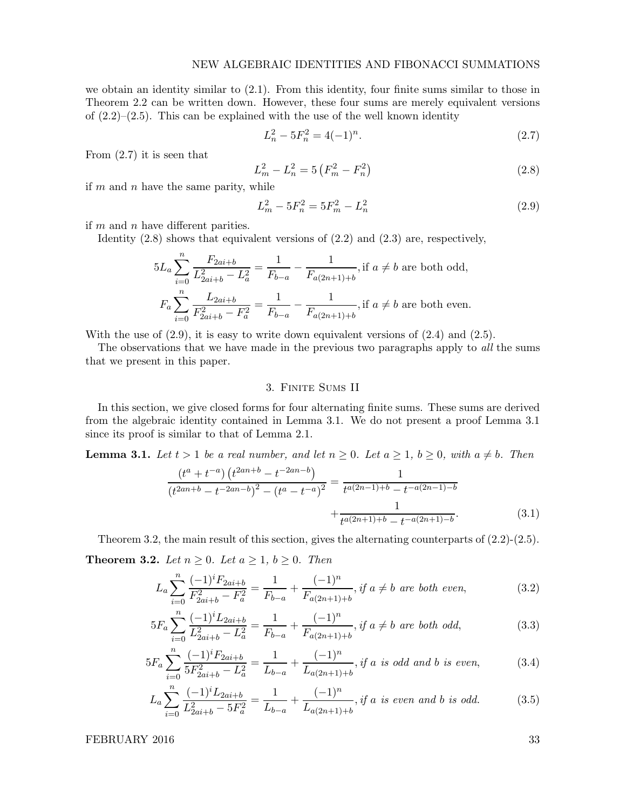we obtain an identity similar to (2.1). From this identity, four finite sums similar to those in Theorem 2.2 can be written down. However, these four sums are merely equivalent versions of  $(2.2)$ – $(2.5)$ . This can be explained with the use of the well known identity

$$
L_n^2 - 5F_n^2 = 4(-1)^n. \tag{2.7}
$$

From (2.7) it is seen that

$$
L_m^2 - L_n^2 = 5\left(F_m^2 - F_n^2\right) \tag{2.8}
$$

if  $m$  and  $n$  have the same parity, while

$$
L_m^2 - 5F_n^2 = 5F_m^2 - L_n^2 \tag{2.9}
$$

if  $m$  and  $n$  have different parities.

Identity (2.8) shows that equivalent versions of (2.2) and (2.3) are, respectively,

$$
5L_a \sum_{i=0}^n \frac{F_{2ai+b}}{L_{2ai+b}^2 - L_a^2} = \frac{1}{F_{b-a}} - \frac{1}{F_{a(2n+1)+b}},
$$
 if  $a \neq b$  are both odd,  

$$
F_a \sum_{i=0}^n \frac{L_{2ai+b}}{F_{2ai+b}^2 - F_a^2} = \frac{1}{F_{b-a}} - \frac{1}{F_{a(2n+1)+b}},
$$
 if  $a \neq b$  are both even.

With the use of  $(2.9)$ , it is easy to write down equivalent versions of  $(2.4)$  and  $(2.5)$ .

The observations that we have made in the previous two paragraphs apply to *all* the sums that we present in this paper.

# 3. Finite Sums II

In this section, we give closed forms for four alternating finite sums. These sums are derived from the algebraic identity contained in Lemma 3.1. We do not present a proof Lemma 3.1 since its proof is similar to that of Lemma 2.1.

**Lemma 3.1.** Let  $t > 1$  be a real number, and let  $n \geq 0$ . Let  $a \geq 1$ ,  $b \geq 0$ , with  $a \neq b$ . Then

$$
\frac{\left(t^{a} + t^{-a}\right)\left(t^{2an+b} - t^{-2an-b}\right)}{\left(t^{2an+b} - t^{-2an-b}\right)^{2} - \left(t^{a} - t^{-a}\right)^{2}} = \frac{1}{t^{a(2n-1)+b} - t^{-a(2n-1)-b}}
$$
\n
$$
+\frac{1}{t^{a(2n+1)+b} - t^{-a(2n+1)-b}}.\tag{3.1}
$$

Theorem 3.2, the main result of this section, gives the alternating counterparts of (2.2)-(2.5). **Theorem 3.2.** Let  $n \geq 0$ . Let  $a \geq 1$ ,  $b \geq 0$ . Then

$$
L_a \sum_{i=0}^{n} \frac{(-1)^i F_{2ai+b}}{F_{2ai+b}^2 - F_a^2} = \frac{1}{F_{b-a}} + \frac{(-1)^n}{F_{a(2n+1)+b}}, \text{ if } a \neq b \text{ are both even}, \tag{3.2}
$$

$$
5F_a \sum_{i=0}^n \frac{(-1)^i L_{2ai+b}}{L_{2ai+b}^2 - L_a^2} = \frac{1}{F_{b-a}} + \frac{(-1)^n}{F_{a(2n+1)+b}}, \text{ if } a \neq b \text{ are both odd}, \tag{3.3}
$$

$$
5F_a \sum_{i=0}^n \frac{(-1)^i F_{2ai+b}}{5F_{2ai+b}^2 - L_a^2} = \frac{1}{L_{b-a}} + \frac{(-1)^n}{L_{a(2n+1)+b}}, \text{if a is odd and b is even}, \tag{3.4}
$$

$$
L_a \sum_{i=0}^n \frac{(-1)^i L_{2ai+b}}{L_{2ai+b}^2 - 5F_a^2} = \frac{1}{L_{b-a}} + \frac{(-1)^n}{L_{a(2n+1)+b}}, \text{ if a is even and b is odd.} \tag{3.5}
$$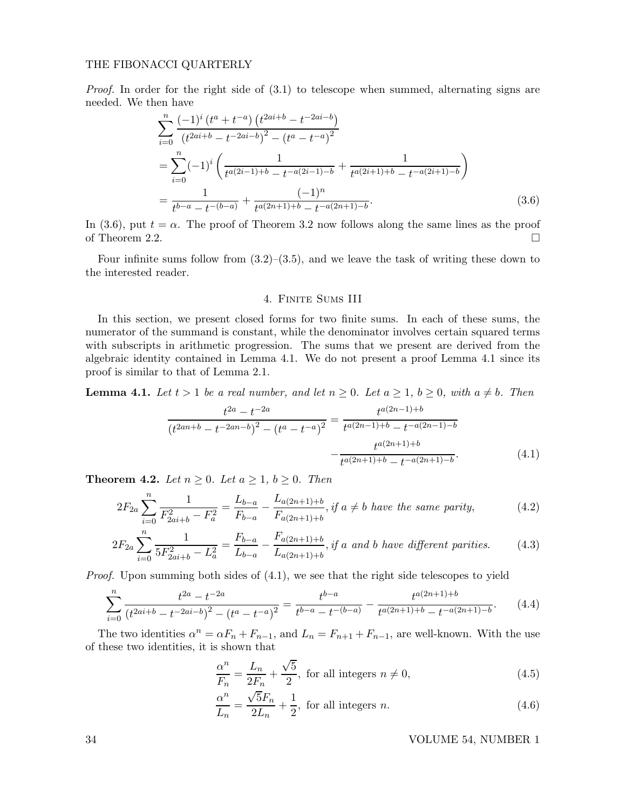Proof. In order for the right side of  $(3.1)$  to telescope when summed, alternating signs are needed. We then have

$$
\sum_{i=0}^{n} \frac{(-1)^{i} (t^{a} + t^{-a}) (t^{2ai+b} - t^{-2ai-b})}{(t^{2ai+b} - t^{-2ai-b})^{2} - (t^{a} - t^{-a})^{2}}
$$
\n
$$
= \sum_{i=0}^{n} (-1)^{i} \left( \frac{1}{t^{a(2i-1)+b} - t^{-a(2i-1)-b}} + \frac{1}{t^{a(2i+1)+b} - t^{-a(2i+1)-b}} \right)
$$
\n
$$
= \frac{1}{t^{b-a} - t^{-(b-a)}} + \frac{(-1)^{n}}{t^{a(2n+1)+b} - t^{-a(2n+1)-b}}.
$$
\n(3.6)

In (3.6), put  $t = \alpha$ . The proof of Theorem 3.2 now follows along the same lines as the proof of Theorem 2.2.

Four infinite sums follow from  $(3.2)$ – $(3.5)$ , and we leave the task of writing these down to the interested reader.

### 4. Finite Sums III

In this section, we present closed forms for two finite sums. In each of these sums, the numerator of the summand is constant, while the denominator involves certain squared terms with subscripts in arithmetic progression. The sums that we present are derived from the algebraic identity contained in Lemma 4.1. We do not present a proof Lemma 4.1 since its proof is similar to that of Lemma 2.1.

**Lemma 4.1.** Let  $t > 1$  be a real number, and let  $n \geq 0$ . Let  $a \geq 1$ ,  $b \geq 0$ , with  $a \neq b$ . Then

$$
\frac{t^{2a} - t^{-2a}}{(t^{2an+b} - t^{-2an-b})^2 - (t^a - t^{-a})^2} = \frac{t^{a(2n-1)+b}}{t^{a(2n-1)+b} - t^{-a(2n-1)-b}} - \frac{t^{a(2n+1)+b}}{t^{a(2n+1)+b} - t^{-a(2n+1)-b}}.
$$
\n(4.1)

**Theorem 4.2.** Let  $n \geq 0$ . Let  $a \geq 1$ ,  $b \geq 0$ . Then

$$
2F_{2a} \sum_{i=0}^{n} \frac{1}{F_{2ai+b}^{2} - F_{a}^{2}} = \frac{L_{b-a}}{F_{b-a}} - \frac{L_{a(2n+1)+b}}{F_{a(2n+1)+b}}, \text{ if } a \neq b \text{ have the same parity}, \tag{4.2}
$$

$$
2F_{2a} \sum_{i=0}^{n} \frac{1}{5F_{2ai+b}^{2} - L_{a}^{2}} = \frac{F_{b-a}}{L_{b-a}} - \frac{F_{a(2n+1)+b}}{L_{a(2n+1)+b}}, \text{ if a and b have different parities.} \tag{4.3}
$$

*Proof.* Upon summing both sides of  $(4.1)$ , we see that the right side telescopes to yield

$$
\sum_{i=0}^{n} \frac{t^{2a} - t^{-2a}}{(t^{2ai+b} - t^{-2ai-b})^2 - (t^a - t^{-a})^2} = \frac{t^{b-a}}{t^{b-a} - t^{-(b-a)}} - \frac{t^{a(2n+1)+b}}{t^{a(2n+1)+b} - t^{-a(2n+1)-b}}.\tag{4.4}
$$

The two identities  $\alpha^n = \alpha F_n + F_{n-1}$ , and  $L_n = F_{n+1} + F_{n-1}$ , are well-known. With the use of these two identities, it is shown that

$$
\frac{\alpha^n}{F_n} = \frac{L_n}{2F_n} + \frac{\sqrt{5}}{2}, \text{ for all integers } n \neq 0,
$$
\n(4.5)

$$
\frac{\alpha^n}{L_n} = \frac{\sqrt{5}F_n}{2L_n} + \frac{1}{2}, \text{ for all integers } n. \tag{4.6}
$$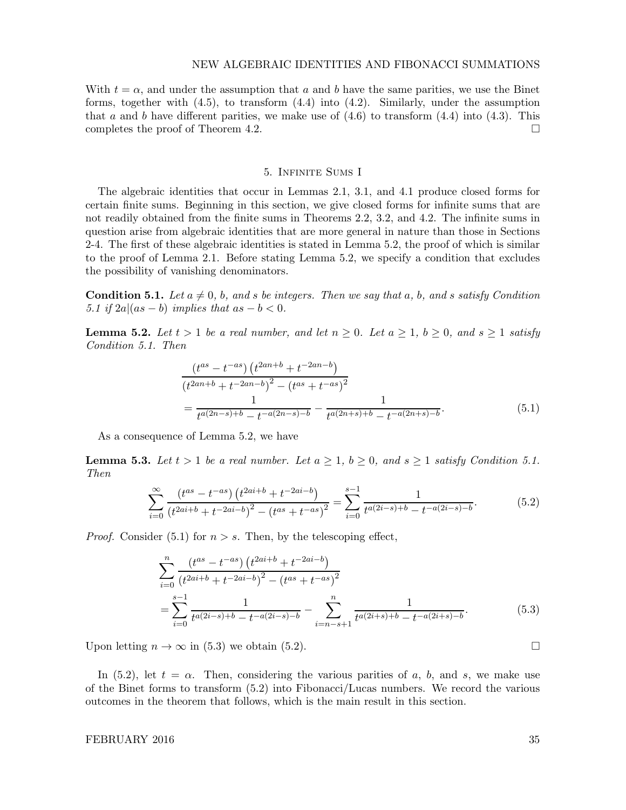#### NEW ALGEBRAIC IDENTITIES AND FIBONACCI SUMMATIONS

With  $t = \alpha$ , and under the assumption that a and b have the same parities, we use the Binet forms, together with  $(4.5)$ , to transform  $(4.4)$  into  $(4.2)$ . Similarly, under the assumption that a and b have different parities, we make use of  $(4.6)$  to transform  $(4.4)$  into  $(4.3)$ . This completes the proof of Theorem 4.2.

#### 5. Infinite Sums I

The algebraic identities that occur in Lemmas 2.1, 3.1, and 4.1 produce closed forms for certain finite sums. Beginning in this section, we give closed forms for infinite sums that are not readily obtained from the finite sums in Theorems 2.2, 3.2, and 4.2. The infinite sums in question arise from algebraic identities that are more general in nature than those in Sections 2-4. The first of these algebraic identities is stated in Lemma 5.2, the proof of which is similar to the proof of Lemma 2.1. Before stating Lemma 5.2, we specify a condition that excludes the possibility of vanishing denominators.

**Condition 5.1.** Let  $a \neq 0$ , b, and s be integers. Then we say that a, b, and s satisfy Condition 5.1 if  $2a|(as-b)$  implies that  $as-b<0$ .

**Lemma 5.2.** Let  $t > 1$  be a real number, and let  $n \geq 0$ . Let  $a \geq 1$ ,  $b \geq 0$ , and  $s \geq 1$  satisfy Condition 5.1. Then

$$
\frac{(t^{as} - t^{-as}) (t^{2an+b} + t^{-2an-b})}{(t^{2an+b} + t^{-2an-b})^2 - (t^{as} + t^{-as})^2}
$$
\n
$$
= \frac{1}{t^{a(2n-s)+b} - t^{-a(2n-s)-b}} - \frac{1}{t^{a(2n+s)+b} - t^{-a(2n+s)-b}}.
$$
\n(5.1)

As a consequence of Lemma 5.2, we have

**Lemma 5.3.** Let  $t > 1$  be a real number. Let  $a \geq 1$ ,  $b \geq 0$ , and  $s \geq 1$  satisfy Condition 5.1. Then

$$
\sum_{i=0}^{\infty} \frac{(t^{as} - t^{-as}) (t^{2ai+b} + t^{-2ai-b})}{(t^{2ai+b} + t^{-2ai-b})^2 - (t^{as} + t^{-as})^2} = \sum_{i=0}^{s-1} \frac{1}{t^{a(2i-s)+b} - t^{-a(2i-s)-b}}.\tag{5.2}
$$

*Proof.* Consider (5.1) for  $n > s$ . Then, by the telescoping effect,

$$
\sum_{i=0}^{n} \frac{(t^{as} - t^{-as}) (t^{2ai+b} + t^{-2ai-b})}{(t^{2ai+b} + t^{-2ai-b})^2 - (t^{as} + t^{-as})^2}
$$
  
= 
$$
\sum_{i=0}^{s-1} \frac{1}{t^{a(2i-s)+b} - t^{-a(2i-s)-b}} - \sum_{i=n-s+1}^{n} \frac{1}{t^{a(2i+s)+b} - t^{-a(2i+s)-b}}.
$$
 (5.3)

Upon letting  $n \to \infty$  in (5.3) we obtain (5.2).

In (5.2), let  $t = \alpha$ . Then, considering the various parities of a, b, and s, we make use of the Binet forms to transform (5.2) into Fibonacci/Lucas numbers. We record the various outcomes in the theorem that follows, which is the main result in this section.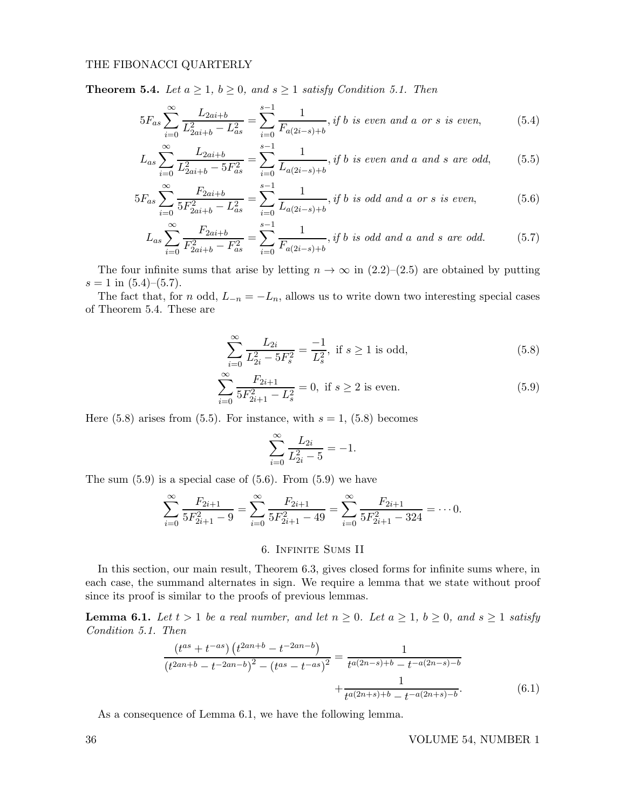**Theorem 5.4.** Let  $a \geq 1$ ,  $b \geq 0$ , and  $s \geq 1$  satisfy Condition 5.1. Then

$$
5F_{as} \sum_{i=0}^{\infty} \frac{L_{2ai+b}}{L_{2ai+b}^2 - L_{as}^2} = \sum_{i=0}^{s-1} \frac{1}{F_{a(2i-s)+b}}, \text{if } b \text{ is even and a or s is even}, \tag{5.4}
$$

$$
L_{as} \sum_{i=0}^{\infty} \frac{L_{2ai+b}}{L_{2ai+b}^2 - 5F_{as}^2} = \sum_{i=0}^{s-1} \frac{1}{L_{a(2i-s)+b}}, \text{if } b \text{ is even and a and s are odd}, \tag{5.5}
$$

$$
5F_{as} \sum_{i=0}^{\infty} \frac{F_{2ai+b}}{5F_{2ai+b}^2 - L_{as}^2} = \sum_{i=0}^{s-1} \frac{1}{L_{a(2i-s)+b}}, \text{if } b \text{ is odd and a or s is even}, \tag{5.6}
$$

$$
L_{as} \sum_{i=0}^{\infty} \frac{F_{2ai+b}}{F_{2ai+b}^2 - F_{as}^2} = \sum_{i=0}^{s-1} \frac{1}{F_{a(2i-s)+b}}, \text{if } b \text{ is odd and a and s are odd.} \tag{5.7}
$$

The four infinite sums that arise by letting  $n \to \infty$  in  $(2.2)$ – $(2.5)$  are obtained by putting  $s = 1$  in  $(5.4)$ – $(5.7)$ .

The fact that, for n odd,  $L_{-n} = -L_n$ , allows us to write down two interesting special cases of Theorem 5.4. These are

$$
\sum_{i=0}^{\infty} \frac{L_{2i}}{L_{2i}^2 - 5F_s^2} = \frac{-1}{L_s^2}, \text{ if } s \ge 1 \text{ is odd},\tag{5.8}
$$

$$
\sum_{i=0}^{\infty} \frac{F_{2i+1}}{5F_{2i+1}^2 - L_s^2} = 0, \text{ if } s \ge 2 \text{ is even.}
$$
 (5.9)

Here  $(5.8)$  arises from  $(5.5)$ . For instance, with  $s = 1$ ,  $(5.8)$  becomes

$$
\sum_{i=0}^{\infty} \frac{L_{2i}}{L_{2i}^2 - 5} = -1.
$$

The sum  $(5.9)$  is a special case of  $(5.6)$ . From  $(5.9)$  we have

$$
\sum_{i=0}^{\infty} \frac{F_{2i+1}}{5F_{2i+1}^2 - 9} = \sum_{i=0}^{\infty} \frac{F_{2i+1}}{5F_{2i+1}^2 - 49} = \sum_{i=0}^{\infty} \frac{F_{2i+1}}{5F_{2i+1}^2 - 324} = \cdots 0.
$$

## 6. Infinite Sums II

In this section, our main result, Theorem 6.3, gives closed forms for infinite sums where, in each case, the summand alternates in sign. We require a lemma that we state without proof since its proof is similar to the proofs of previous lemmas.

**Lemma 6.1.** Let  $t > 1$  be a real number, and let  $n \geq 0$ . Let  $a \geq 1$ ,  $b \geq 0$ , and  $s \geq 1$  satisfy Condition 5.1. Then

$$
\frac{\left(t^{as} + t^{-as}\right)\left(t^{2an+b} - t^{-2an-b}\right)}{\left(t^{2an+b} - t^{-2an-b}\right)^2 - \left(t^{as} - t^{-as}\right)^2} = \frac{1}{t^{a(2n-s)+b} - t^{-a(2n-s)-b}} + \frac{1}{t^{a(2n+s)+b} - t^{-a(2n+s)-b}}.
$$
\n(6.1)

As a consequence of Lemma 6.1, we have the following lemma.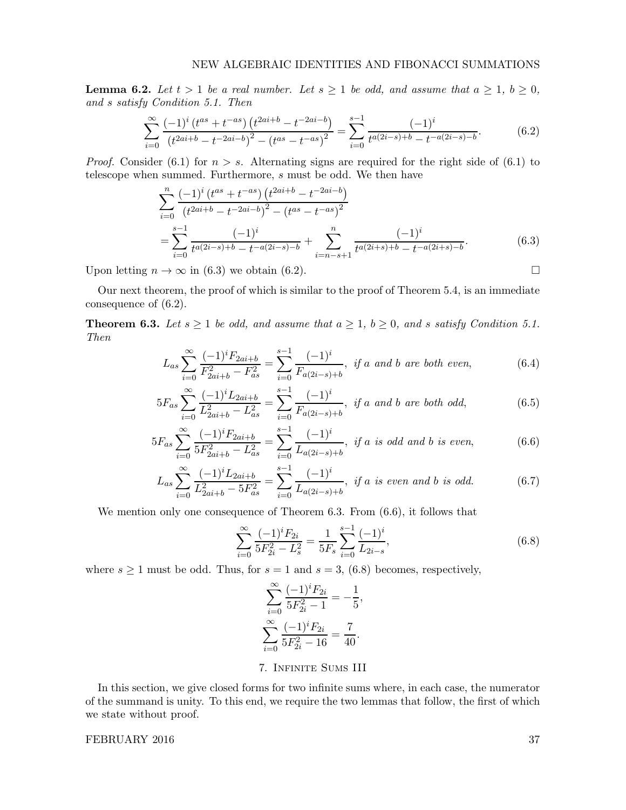**Lemma 6.2.** Let  $t > 1$  be a real number. Let  $s \ge 1$  be odd, and assume that  $a \ge 1$ ,  $b \ge 0$ , and s satisfy Condition 5.1. Then

$$
\sum_{i=0}^{\infty} \frac{(-1)^i (t^{as} + t^{-as}) (t^{2ai+b} - t^{-2ai-b})}{(t^{2ai+b} - t^{-2ai-b})^2 - (t^{as} - t^{-as})^2} = \sum_{i=0}^{s-1} \frac{(-1)^i}{t^{a(2i-s)+b} - t^{-a(2i-s)-b}}.
$$
(6.2)

*Proof.* Consider (6.1) for  $n > s$ . Alternating signs are required for the right side of (6.1) to telescope when summed. Furthermore, s must be odd. We then have

$$
\sum_{i=0}^{n} \frac{(-1)^{i} (t^{as} + t^{-as}) (t^{2ai+b} - t^{-2ai-b})}{(t^{2ai+b} - t^{-2ai-b})^{2} - (t^{as} - t^{-as})^{2}}
$$
  
= 
$$
\sum_{i=0}^{s-1} \frac{(-1)^{i}}{t^{a(2i-s)+b} - t^{-a(2i-s)-b}} + \sum_{i=n-s+1}^{n} \frac{(-1)^{i}}{t^{a(2i+s)+b} - t^{-a(2i+s)-b}}.
$$
 (6.3)

Upon letting  $n \to \infty$  in (6.3) we obtain (6.2).

Our next theorem, the proof of which is similar to the proof of Theorem 5.4, is an immediate consequence of (6.2).

**Theorem 6.3.** Let  $s \ge 1$  be odd, and assume that  $a \ge 1$ ,  $b \ge 0$ , and s satisfy Condition 5.1. Then

$$
L_{as} \sum_{i=0}^{\infty} \frac{(-1)^i F_{2ai+b}}{F_{2ai+b}^2 - F_{as}^2} = \sum_{i=0}^{s-1} \frac{(-1)^i}{F_{a(2i-s)+b}}, \text{ if a and b are both even,} \tag{6.4}
$$

$$
5F_{as} \sum_{i=0}^{\infty} \frac{(-1)^i L_{2ai+b}}{L_{2ai+b}^2 - L_{as}^2} = \sum_{i=0}^{s-1} \frac{(-1)^i}{F_{a(2i-s)+b}}, \text{ if a and b are both odd,}
$$
 (6.5)

$$
5F_{as} \sum_{i=0}^{\infty} \frac{(-1)^i F_{2ai+b}}{5F_{2ai+b}^2 - L_{as}^2} = \sum_{i=0}^{s-1} \frac{(-1)^i}{L_{a(2i-s)+b}}, \text{ if a is odd and b is even}, \tag{6.6}
$$

$$
L_{as} \sum_{i=0}^{\infty} \frac{(-1)^i L_{2ai+b}}{L_{2ai+b}^2 - 5F_{as}^2} = \sum_{i=0}^{s-1} \frac{(-1)^i}{L_{a(2i-s)+b}}, \text{ if a is even and b is odd.}
$$
 (6.7)

We mention only one consequence of Theorem 6.3. From (6.6), it follows that

$$
\sum_{i=0}^{\infty} \frac{(-1)^i F_{2i}}{5F_{2i}^2 - L_s^2} = \frac{1}{5F_s} \sum_{i=0}^{s-1} \frac{(-1)^i}{L_{2i-s}},\tag{6.8}
$$

where  $s \ge 1$  must be odd. Thus, for  $s = 1$  and  $s = 3$ , (6.8) becomes, respectively,

$$
\sum_{i=0}^{\infty} \frac{(-1)^i F_{2i}}{5F_{2i}^2 - 1} = -\frac{1}{5},
$$
  

$$
\sum_{i=0}^{\infty} \frac{(-1)^i F_{2i}}{5F_{2i}^2 - 16} = \frac{7}{40}.
$$

# 7. Infinite Sums III

In this section, we give closed forms for two infinite sums where, in each case, the numerator of the summand is unity. To this end, we require the two lemmas that follow, the first of which we state without proof.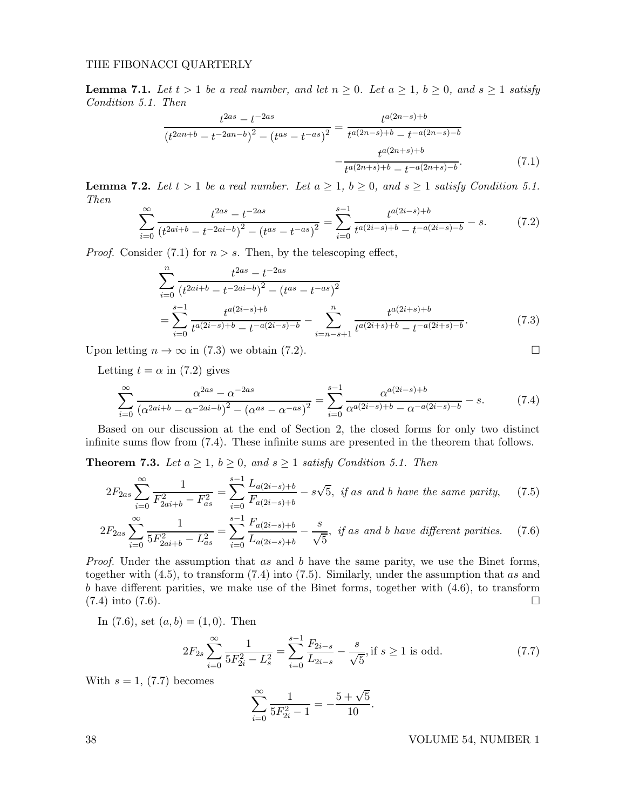**Lemma 7.1.** Let  $t > 1$  be a real number, and let  $n \geq 0$ . Let  $a \geq 1$ ,  $b \geq 0$ , and  $s \geq 1$  satisfy Condition 5.1. Then

$$
\frac{t^{2as} - t^{-2as}}{(t^{2an+b} - t^{-2an-b})^2 - (t^{as} - t^{-as})^2} = \frac{t^{a(2n-s)+b}}{t^{a(2n-s)+b} - t^{-a(2n-s)-b}} - \frac{t^{a(2n+s)+b}}{t^{a(2n+s)+b} - t^{-a(2n+s)-b}}.
$$
(7.1)

**Lemma 7.2.** Let  $t > 1$  be a real number. Let  $a \ge 1$ ,  $b \ge 0$ , and  $s \ge 1$  satisfy Condition 5.1. Then

$$
\sum_{i=0}^{\infty} \frac{t^{2as} - t^{-2as}}{\left(t^{2ai+b} - t^{-2ai-b}\right)^2 - \left(t^{as} - t^{-as}\right)^2} = \sum_{i=0}^{s-1} \frac{t^{a(2i-s)+b}}{t^{a(2i-s)+b} - t^{-a(2i-s)-b}} - s.
$$
(7.2)

*Proof.* Consider (7.1) for  $n > s$ . Then, by the telescoping effect,

$$
\sum_{i=0}^{n} \frac{t^{2as} - t^{-2as}}{(t^{2ai+b} - t^{-2ai-b})^2 - (t^{as} - t^{-as})^2}
$$
\n
$$
= \sum_{i=0}^{s-1} \frac{t^{a(2i-s)+b}}{t^{a(2i-s)+b} - t^{-a(2i-s)-b}} - \sum_{i=n-s+1}^{n} \frac{t^{a(2i+s)+b}}{t^{a(2i+s)+b} - t^{-a(2i+s)-b}}.
$$
\n(7.3)

Upon letting  $n \to \infty$  in (7.3) we obtain (7.2).

Letting  $t = \alpha$  in (7.2) gives

$$
\sum_{i=0}^{\infty} \frac{\alpha^{2as} - \alpha^{-2as}}{(\alpha^{2ai+b} - \alpha^{-2ai-b})^2 - (\alpha^{as} - \alpha^{-as})^2} = \sum_{i=0}^{s-1} \frac{\alpha^{a(2i-s)+b}}{\alpha^{a(2i-s)+b} - \alpha^{-a(2i-s)-b}} - s.
$$
 (7.4)

Based on our discussion at the end of Section 2, the closed forms for only two distinct infinite sums flow from (7.4). These infinite sums are presented in the theorem that follows.

**Theorem 7.3.** Let  $a \geq 1$ ,  $b \geq 0$ , and  $s \geq 1$  satisfy Condition 5.1. Then

$$
2F_{2as} \sum_{i=0}^{\infty} \frac{1}{F_{2ai+b}^2 - F_{as}^2} = \sum_{i=0}^{s-1} \frac{L_{a(2i-s)+b}}{F_{a(2i-s)+b}} - s\sqrt{5}, \text{ if as and } b \text{ have the same parity,} \tag{7.5}
$$

$$
2F_{2as} \sum_{i=0}^{\infty} \frac{1}{5F_{2ai+b}^2 - L_{as}^2} = \sum_{i=0}^{s-1} \frac{F_{a(2i-s)+b}}{L_{a(2i-s)+b}} - \frac{s}{\sqrt{5}}, \text{ if as and } b \text{ have different parities.} \tag{7.6}
$$

Proof. Under the assumption that as and b have the same parity, we use the Binet forms, together with  $(4.5)$ , to transform  $(7.4)$  into  $(7.5)$ . Similarly, under the assumption that as and b have different parities, we make use of the Binet forms, together with (4.6), to transform  $(7.4)$  into  $(7.6)$ .

In (7.6), set  $(a, b) = (1, 0)$ . Then

$$
2F_{2s} \sum_{i=0}^{\infty} \frac{1}{5F_{2i}^2 - L_s^2} = \sum_{i=0}^{s-1} \frac{F_{2i-s}}{L_{2i-s}} - \frac{s}{\sqrt{5}}, \text{if } s \ge 1 \text{ is odd.} \tag{7.7}
$$

With  $s = 1$ , (7.7) becomes

$$
\sum_{i=0}^{\infty} \frac{1}{5F_{2i}^2 - 1} = -\frac{5 + \sqrt{5}}{10}.
$$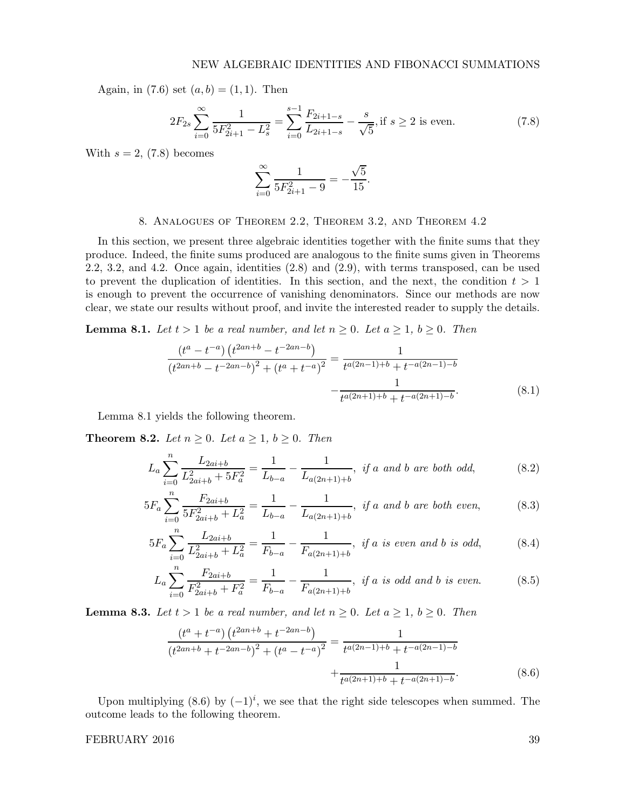Again, in (7.6) set  $(a, b) = (1, 1)$ . Then

$$
2F_{2s} \sum_{i=0}^{\infty} \frac{1}{5F_{2i+1}^2 - L_s^2} = \sum_{i=0}^{s-1} \frac{F_{2i+1-s}}{L_{2i+1-s}} - \frac{s}{\sqrt{5}}, \text{if } s \ge 2 \text{ is even.} \tag{7.8}
$$

With  $s = 2$ , (7.8) becomes

$$
\sum_{i=0}^{\infty} \frac{1}{5F_{2i+1}^2 - 9} = -\frac{\sqrt{5}}{15}.
$$

## 8. Analogues of Theorem 2.2, Theorem 3.2, and Theorem 4.2

In this section, we present three algebraic identities together with the finite sums that they produce. Indeed, the finite sums produced are analogous to the finite sums given in Theorems 2.2, 3.2, and 4.2. Once again, identities (2.8) and (2.9), with terms transposed, can be used to prevent the duplication of identities. In this section, and the next, the condition  $t > 1$ is enough to prevent the occurrence of vanishing denominators. Since our methods are now clear, we state our results without proof, and invite the interested reader to supply the details.

**Lemma 8.1.** Let  $t > 1$  be a real number, and let  $n \geq 0$ . Let  $a \geq 1$ ,  $b \geq 0$ . Then

$$
\frac{\left(t^{a} - t^{-a}\right)\left(t^{2an+b} - t^{-2an-b}\right)}{\left(t^{2an+b} - t^{-2an-b}\right)^{2} + \left(t^{a} + t^{-a}\right)^{2}} = \frac{1}{t^{a(2n-1)+b} + t^{-a(2n-1)-b}}
$$
\n
$$
-\frac{1}{t^{a(2n+1)+b} + t^{-a(2n+1)-b}}.\tag{8.1}
$$

Lemma 8.1 yields the following theorem.

**Theorem 8.2.** Let  $n \geq 0$ . Let  $a \geq 1$ ,  $b \geq 0$ . Then

$$
L_a \sum_{i=0}^{n} \frac{L_{2ai+b}}{L_{2ai+b}^2 + 5F_a^2} = \frac{1}{L_{b-a}} - \frac{1}{L_{a(2n+1)+b}}, \text{ if a and b are both odd,} \tag{8.2}
$$

$$
5F_a \sum_{i=0}^{n} \frac{F_{2ai+b}}{5F_{2ai+b}^2 + L_a^2} = \frac{1}{L_{b-a}} - \frac{1}{L_{a(2n+1)+b}}, \text{ if a and b are both even,} \tag{8.3}
$$

$$
5F_a \sum_{i=0}^n \frac{L_{2ai+b}}{L_{2ai+b}^2 + L_a^2} = \frac{1}{F_{b-a}} - \frac{1}{F_{a(2n+1)+b}}, \text{ if a is even and b is odd}, \tag{8.4}
$$

$$
L_a \sum_{i=0}^{n} \frac{F_{2ai+b}}{F_{2ai+b}^2 + F_a^2} = \frac{1}{F_{b-a}} - \frac{1}{F_{a(2n+1)+b}}, \text{ if a is odd and b is even.} \tag{8.5}
$$

**Lemma 8.3.** Let  $t > 1$  be a real number, and let  $n \geq 0$ . Let  $a \geq 1$ ,  $b \geq 0$ . Then

$$
\frac{\left(t^{a} + t^{-a}\right)\left(t^{2an+b} + t^{-2an-b}\right)}{\left(t^{2an+b} + t^{-2an-b}\right)^{2} + \left(t^{a} - t^{-a}\right)^{2}} = \frac{1}{t^{a(2n-1)+b} + t^{-a(2n-1)-b}} + \frac{1}{t^{a(2n+1)+b} + t^{-a(2n+1)-b}}.
$$
\n(8.6)

Upon multiplying  $(8.6)$  by  $(-1)^i$ , we see that the right side telescopes when summed. The outcome leads to the following theorem.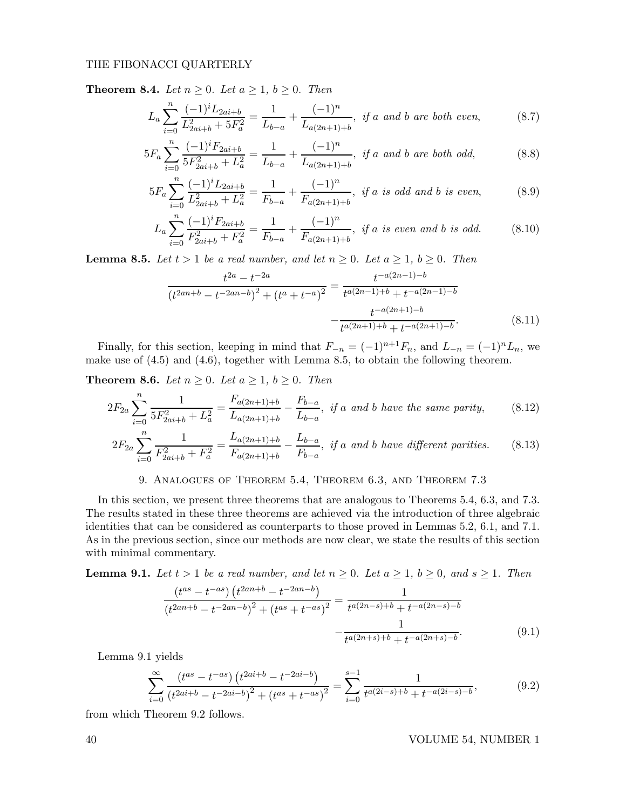**Theorem 8.4.** Let  $n \geq 0$ . Let  $a \geq 1$ ,  $b \geq 0$ . Then

$$
L_a \sum_{i=0}^{n} \frac{(-1)^i L_{2ai+b}}{L_{2ai+b}^2 + 5F_a^2} = \frac{1}{L_{b-a}} + \frac{(-1)^n}{L_{a(2n+1)+b}}, \text{ if a and b are both even,} \tag{8.7}
$$

$$
5F_a \sum_{i=0}^n \frac{(-1)^i F_{2ai+b}}{5F_{2ai+b}^2 + L_a^2} = \frac{1}{L_{b-a}} + \frac{(-1)^n}{L_{a(2n+1)+b}}, \text{ if a and b are both odd,} \tag{8.8}
$$

$$
5F_a \sum_{i=0}^n \frac{(-1)^i L_{2ai+b}}{L_{2ai+b}^2 + L_a^2} = \frac{1}{F_{b-a}} + \frac{(-1)^n}{F_{a(2n+1)+b}}, \text{ if a is odd and b is even}, \tag{8.9}
$$

$$
L_a \sum_{i=0}^n \frac{(-1)^i F_{2ai+b}}{F_{2ai+b}^2 + F_a^2} = \frac{1}{F_{b-a}} + \frac{(-1)^n}{F_{a(2n+1)+b}}, \text{ if a is even and b is odd.} \tag{8.10}
$$

**Lemma 8.5.** Let  $t > 1$  be a real number, and let  $n \geq 0$ . Let  $a \geq 1$ ,  $b \geq 0$ . Then

$$
\frac{t^{2a} - t^{-2a}}{(t^{2an+b} - t^{-2an-b})^2 + (t^a + t^{-a})^2} = \frac{t^{-a(2n-1)-b}}{t^{a(2n-1)+b} + t^{-a(2n-1)-b}} - \frac{t^{-a(2n+1)-b}}{t^{a(2n+1)+b} + t^{-a(2n+1)-b}}.
$$
(8.11)

Finally, for this section, keeping in mind that  $F_{-n} = (-1)^{n+1}F_n$ , and  $L_{-n} = (-1)^nL_n$ , we make use of (4.5) and (4.6), together with Lemma 8.5, to obtain the following theorem.

**Theorem 8.6.** Let  $n \geq 0$ . Let  $a \geq 1$ ,  $b \geq 0$ . Then

$$
2F_{2a} \sum_{i=0}^{n} \frac{1}{5F_{2ai+b}^2 + L_a^2} = \frac{F_{a(2n+1)+b}}{L_{a(2n+1)+b}} - \frac{F_{b-a}}{L_{b-a}}, \text{ if a and b have the same parity,} \tag{8.12}
$$

$$
2F_{2a} \sum_{i=0}^{n} \frac{1}{F_{2ai+b}^2 + F_a^2} = \frac{L_{a(2n+1)+b}}{F_{a(2n+1)+b}} - \frac{L_{b-a}}{F_{b-a}}, \text{ if a and b have different parities.} \tag{8.13}
$$

## 9. Analogues of Theorem 5.4, Theorem 6.3, and Theorem 7.3

In this section, we present three theorems that are analogous to Theorems 5.4, 6.3, and 7.3. The results stated in these three theorems are achieved via the introduction of three algebraic identities that can be considered as counterparts to those proved in Lemmas 5.2, 6.1, and 7.1. As in the previous section, since our methods are now clear, we state the results of this section with minimal commentary.

**Lemma 9.1.** Let  $t > 1$  be a real number, and let  $n \geq 0$ . Let  $a \geq 1$ ,  $b \geq 0$ , and  $s \geq 1$ . Then

$$
\frac{\left(t^{as} - t^{-as}\right)\left(t^{2an+b} - t^{-2an-b}\right)}{\left(t^{2an+b} - t^{-2an-b}\right)^2 + \left(t^{as} + t^{-as}\right)^2} = \frac{1}{t^{a(2n-s)+b} + t^{-a(2n-s)-b}} - \frac{1}{t^{a(2n+s)+b} + t^{-a(2n+s)-b}}.\tag{9.1}
$$

Lemma 9.1 yields

$$
\sum_{i=0}^{\infty} \frac{\left(t^{as} - t^{-as}\right) \left(t^{2ai + b} - t^{-2ai - b}\right)}{\left(t^{2ai + b} - t^{-2ai - b}\right)^2 + \left(t^{as} + t^{-as}\right)^2} = \sum_{i=0}^{s-1} \frac{1}{t^{a(2i - s) + b} + t^{-a(2i - s) - b}},\tag{9.2}
$$

from which Theorem 9.2 follows.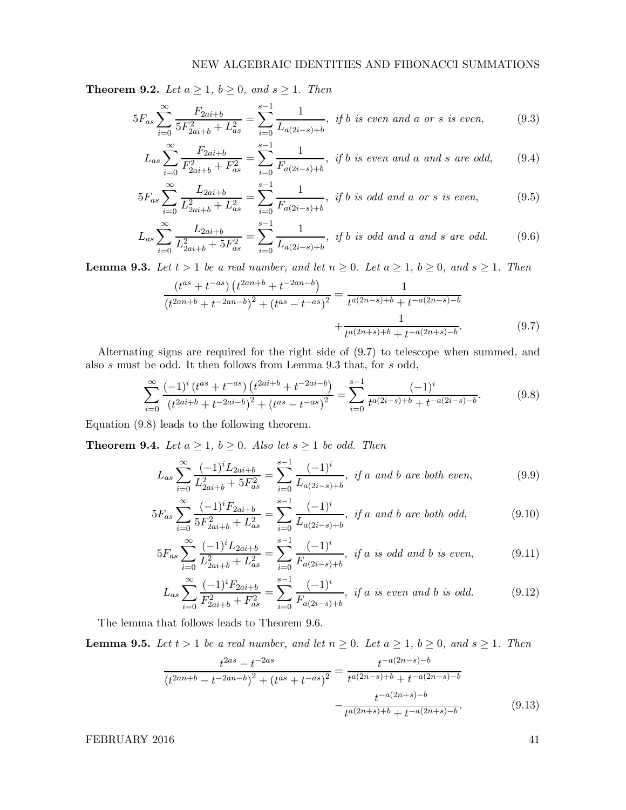**Theorem 9.2.** Let  $a \geq 1$ ,  $b \geq 0$ , and  $s \geq 1$ . Then

$$
5F_{as} \sum_{i=0}^{\infty} \frac{F_{2ai+b}}{5F_{2ai+b}^2 + L_{as}^2} = \sum_{i=0}^{s-1} \frac{1}{L_{a(2i-s)+b}}, \text{ if } b \text{ is even and a or s is even}, \tag{9.3}
$$

$$
L_{as} \sum_{i=0}^{\infty} \frac{F_{2ai+b}}{F_{2ai+b}^2 + F_{as}^2} = \sum_{i=0}^{s-1} \frac{1}{F_{a(2i-s)+b}}, \text{ if } b \text{ is even and a and s are odd}, \quad (9.4)
$$

$$
5F_{as} \sum_{i=0}^{\infty} \frac{L_{2ai+b}}{L_{2ai+b}^2 + L_{as}^2} = \sum_{i=0}^{s-1} \frac{1}{F_{a(2i-s)+b}}, \text{ if } b \text{ is odd and a or s is even}, \tag{9.5}
$$

$$
L_{as} \sum_{i=0}^{\infty} \frac{L_{2ai+b}}{L_{2ai+b}^2 + 5F_{as}^2} = \sum_{i=0}^{s-1} \frac{1}{L_{a(2i-s)+b}}, \text{ if } b \text{ is odd and a and s are odd.}
$$
 (9.6)

**Lemma 9.3.** Let  $t > 1$  be a real number, and let  $n \geq 0$ . Let  $a \geq 1$ ,  $b \geq 0$ , and  $s \geq 1$ . Then

$$
\frac{(t^{as} + t^{-as}) (t^{2an+b} + t^{-2an-b})}{(t^{2an+b} + t^{-2an-b})^2 + (t^{as} - t^{-as})^2} = \frac{1}{t^{a(2n-s)+b} + t^{-a(2n-s)-b}}
$$

$$
+ \frac{1}{t^{a(2n+s)+b} + t^{-a(2n+s)-b}}.
$$
(9.7)

Alternating signs are required for the right side of (9.7) to telescope when summed, and also s must be odd. It then follows from Lemma 9.3 that, for s odd,

$$
\sum_{i=0}^{\infty} \frac{(-1)^i (t^{as} + t^{-as}) (t^{2ai+b} + t^{-2ai-b})}{(t^{2ai+b} + t^{-2ai-b})^2 + (t^{as} - t^{-as})^2} = \sum_{i=0}^{s-1} \frac{(-1)^i}{t^{a(2i-s)+b} + t^{-a(2i-s)-b}}.
$$
(9.8)

Equation (9.8) leads to the following theorem.

**Theorem 9.4.** Let  $a \geq 1$ ,  $b \geq 0$ . Also let  $s \geq 1$  be odd. Then

$$
L_{as} \sum_{i=0}^{\infty} \frac{(-1)^i L_{2ai+b}}{L_{2ai+b}^2 + 5F_{as}^2} = \sum_{i=0}^{s-1} \frac{(-1)^i}{L_{a(2i-s)+b}}, \text{ if a and b are both even,}
$$
 (9.9)

$$
5F_{as} \sum_{i=0}^{\infty} \frac{(-1)^i F_{2ai+b}}{5F_{2ai+b}^2 + L_{as}^2} = \sum_{i=0}^{s-1} \frac{(-1)^i}{L_{a(2i-s)+b}}, \text{ if a and b are both odd,}
$$
 (9.10)

$$
5F_{as} \sum_{i=0}^{\infty} \frac{(-1)^i L_{2ai+b}}{L_{2ai+b}^2 + L_{as}^2} = \sum_{i=0}^{s-1} \frac{(-1)^i}{F_{a(2i-s)+b}}, \text{ if a is odd and b is even}, \tag{9.11}
$$

$$
L_{as} \sum_{i=0}^{\infty} \frac{(-1)^i F_{2ai+b}}{F_{2ai+b}^2 + F_{as}^2} = \sum_{i=0}^{s-1} \frac{(-1)^i}{F_{a(2i-s)+b}}, \text{ if a is even and b is odd.}
$$
 (9.12)

The lemma that follows leads to Theorem 9.6.

**Lemma 9.5.** Let  $t > 1$  be a real number, and let  $n \geq 0$ . Let  $a \geq 1$ ,  $b \geq 0$ , and  $s \geq 1$ . Then

$$
\frac{t^{2as} - t^{-2as}}{(t^{2an+b} - t^{-2an-b})^2 + (t^{as} + t^{-as})^2} = \frac{t^{-a(2n-s)-b}}{t^{a(2n-s)+b} + t^{-a(2n-s)-b}} - \frac{t^{-a(2n+s)-b}}{t^{a(2n+s)+b} + t^{-a(2n+s)-b}}.
$$
(9.13)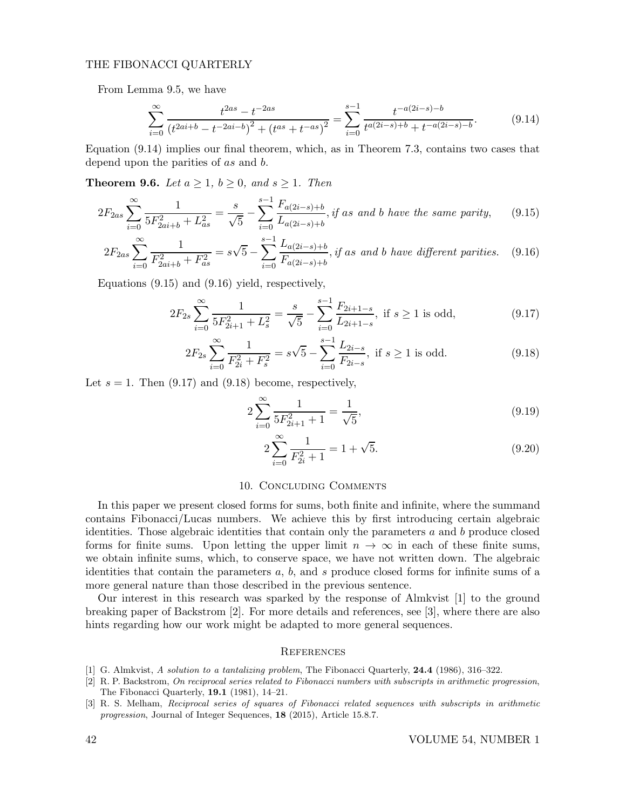From Lemma 9.5, we have

$$
\sum_{i=0}^{\infty} \frac{t^{2as} - t^{-2as}}{(t^{2ai+b} - t^{-2ai-b})^2 + (t^{as} + t^{-as})^2} = \sum_{i=0}^{s-1} \frac{t^{-a(2i-s)-b}}{t^{a(2i-s)+b} + t^{-a(2i-s)-b}}.
$$
(9.14)

Equation (9.14) implies our final theorem, which, as in Theorem 7.3, contains two cases that depend upon the parities of as and b.

**Theorem 9.6.** Let  $a \geq 1$ ,  $b \geq 0$ , and  $s \geq 1$ . Then

$$
2F_{2as} \sum_{i=0}^{\infty} \frac{1}{5F_{2ai+b}^2 + L_{as}^2} = \frac{s}{\sqrt{5}} - \sum_{i=0}^{s-1} \frac{F_{a(2i-s)+b}}{L_{a(2i-s)+b}}, \text{ if as and } b \text{ have the same parity}, \qquad (9.15)
$$

$$
2F_{2as} \sum_{i=0}^{\infty} \frac{1}{F_{2ai+b}^2 + F_{as}^2} = s\sqrt{5} - \sum_{i=0}^{s-1} \frac{L_{a(2i-s)+b}}{F_{a(2i-s)+b}}, \text{if as and } b \text{ have different parities.} \tag{9.16}
$$

Equations (9.15) and (9.16) yield, respectively,

$$
2F_{2s} \sum_{i=0}^{\infty} \frac{1}{5F_{2i+1}^2 + L_s^2} = \frac{s}{\sqrt{5}} - \sum_{i=0}^{s-1} \frac{F_{2i+1-s}}{L_{2i+1-s}}, \text{ if } s \ge 1 \text{ is odd},\tag{9.17}
$$

$$
2F_{2s} \sum_{i=0}^{\infty} \frac{1}{F_{2i}^2 + F_s^2} = s\sqrt{5} - \sum_{i=0}^{s-1} \frac{L_{2i-s}}{F_{2i-s}}, \text{ if } s \ge 1 \text{ is odd.}
$$
 (9.18)

Let  $s = 1$ . Then (9.17) and (9.18) become, respectively,

$$
2\sum_{i=0}^{\infty} \frac{1}{5F_{2i+1}^2 + 1} = \frac{1}{\sqrt{5}},\tag{9.19}
$$

$$
2\sum_{i=0}^{\infty} \frac{1}{F_{2i}^2 + 1} = 1 + \sqrt{5}.
$$
 (9.20)

#### 10. Concluding Comments

In this paper we present closed forms for sums, both finite and infinite, where the summand contains Fibonacci/Lucas numbers. We achieve this by first introducing certain algebraic identities. Those algebraic identities that contain only the parameters  $a$  and  $b$  produce closed forms for finite sums. Upon letting the upper limit  $n \to \infty$  in each of these finite sums, we obtain infinite sums, which, to conserve space, we have not written down. The algebraic identities that contain the parameters  $a, b$ , and  $s$  produce closed forms for infinite sums of a more general nature than those described in the previous sentence.

Our interest in this research was sparked by the response of Almkvist [1] to the ground breaking paper of Backstrom [2]. For more details and references, see [3], where there are also hints regarding how our work might be adapted to more general sequences.

#### **REFERENCES**

- [1] G. Almkvist, A solution to a tantalizing problem, The Fibonacci Quarterly, 24.4 (1986), 316–322.
- [2] R. P. Backstrom, On reciprocal series related to Fibonacci numbers with subscripts in arithmetic progression, The Fibonacci Quarterly, 19.1 (1981), 14–21.
- [3] R. S. Melham, Reciprocal series of squares of Fibonacci related sequences with subscripts in arithmetic progression, Journal of Integer Sequences, 18 (2015), Article 15.8.7.